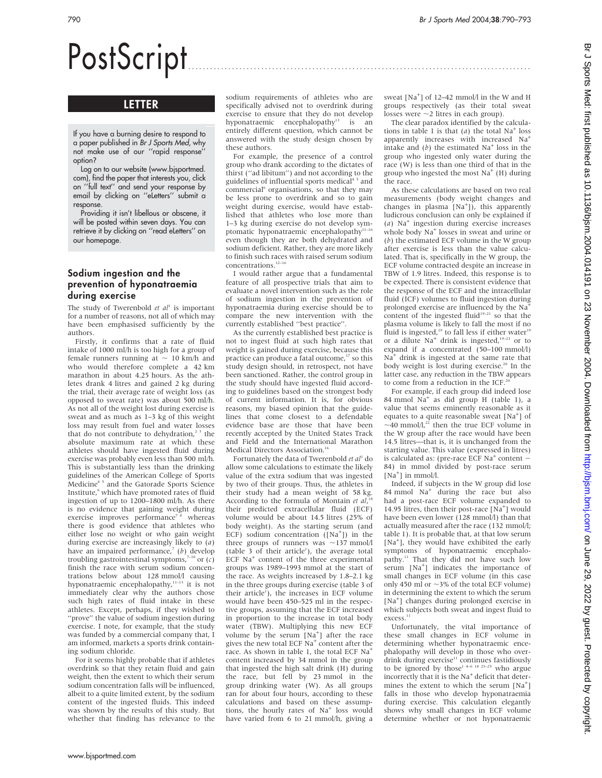# PostScript ..............................................................................................

## LETTER

If you have a burning desire to respond to a paper published in Br J Sports Med, why not make use of our ''rapid response'' option?

Log on to our website (www.bjsportmed. com), find the paper that interests you, click on ''full text'' and send your response by email by clicking on ''eLetters'' submit a response.

Providing it isn't libellous or obscene, it will be posted within seven days. You can retrieve it by clicking on ''read eLetters'' on our homepage.

## Sodium ingestion and the prevention of hyponatraemia during exercise

The study of Twerenbold et  $al<sup>1</sup>$  is important for a number of reasons, not all of which may have been emphasised sufficiently by the authors.

Firstly, it confirms that a rate of fluid intake of 1000 ml/h is too high for a group of female runners running at  $\sim$  10 km/h and who would therefore complete a 42 km marathon in about 4.25 hours. As the athletes drank 4 litres and gained 2 kg during the trial, their average rate of weight loss (as opposed to sweat rate) was about 500 ml/h. As not all of the weight lost during exercise is sweat and as much as 1–3 kg of this weight loss may result from fuel and water losses that do not contribute to dehydration,<sup>2</sup><sup>3</sup> the absolute maximum rate at which these athletes should have ingested fluid during exercise was probably even less than 500 ml/h. This is substantially less than the drinking guidelines of the American College of Sports Medicine<sup>45</sup> and the Gatorade Sports Science Institute,<sup>6</sup> which have promoted rates of fluid ingestion of up to 1200–1800 ml/h. As there is no evidence that gaining weight during exercise improves performance<sup>7</sup> <sup>8</sup> whereas there is good evidence that athletes who either lose no weight or who gain weight during exercise are increasingly likely to (a) have an impaired performance,<sup> $7$ </sup> (b) develop troubling gastrointestinal symptoms,<sup> $7-10$ </sup> or (c) finish the race with serum sodium concentrations below about 128 mmol/l causing hyponatraemic encephalopathy,11–13 it is not immediately clear why the authors chose such high rates of fluid intake in these athletes. Except, perhaps, if they wished to ''prove'' the value of sodium ingestion during exercise. I note, for example, that the study was funded by a commercial company that, I am informed, markets a sports drink containing sodium chloride.

For it seems highly probable that if athletes overdrink so that they retain fluid and gain weight, then the extent to which their serum sodium concentration falls will be influenced, albeit to a quite limited extent, by the sodium content of the ingested fluids. This indeed was shown by the results of this study. But whether that finding has relevance to the

sodium requirements of athletes who are specifically advised not to overdrink during exercise to ensure that they do not develop hyponatraemic encephalopathy $13$  is an entirely different question, which cannot be answered with the study design chosen by these authors.

For example, the presence of a control group who drank according to the dictates of thirst (''ad libitum'') and not according to the guidelines of influential sports medical<sup>45</sup> and commercial<sup>6</sup> organisations, so that they may be less prone to overdrink and so to gain weight during exercise, would have established that athletes who lose more than 1–3 kg during exercise do not develop symptomatic hyponatraemic encephalopathy<sup>11-16</sup> even though they are both dehydrated and sodium deficient. Rather, they are more likely to finish such races with raised serum sodium concentrations.<sup>12–16</sup>

I would rather argue that a fundamental feature of all prospective trials that aim to evaluate a novel intervention such as the role of sodium ingestion in the prevention of hyponatraemia during exercise should be to compare the new intervention with the currently established ''best practice''.

As the currently established best practice is not to ingest fluid at such high rates that weight is gained during exercise, because this practice can produce a fatal outcome,<sup>17</sup> so this study design should, in retrospect, not have been sanctioned. Rather, the control group in the study should have ingested fluid according to guidelines based on the strongest body of current information. It is, for obvious reasons, my biased opinion that the guidelines that come closest to a defendable evidence base are those that have been recently accepted by the United States Track and Field and the International Marathon Medical Directors Association.<sup>16</sup>

Fortunately the data of Twerenbold  $et al<sup>1</sup>$  do allow some calculations to estimate the likely value of the extra sodium that was ingested by two of their groups. Thus, the athletes in their study had a mean weight of 58 kg. According to the formula of Montain et  $al<sup>18</sup>$ their predicted extracellular fluid (ECF) volume would be about 14.5 litres (25% of body weight). As the starting serum (and ECF) sodium concentration ( $[Na^+]$ ) in the three groups of runners was  $\sim$ 137 mmol/l (table 3 of their article<sup>1</sup>), the average total ECF Na<sup>+</sup> content of the three experimental groups was 1989–1993 mmol at the start of the race. As weights increased by 1.8–2.1 kg in the three groups during exercise (table 3 of their article<sup>1</sup>), the increases in ECF volume would have been 450–525 ml in the respective groups, assuming that the ECF increased in proportion to the increase in total body water (TBW). Multiplying this new ECF volume by the serum  $[Na^+]$  after the race gives the new total ECF Na<sup>+</sup> content after the race. As shown in table 1, the total ECF Na<sup>+</sup> content increased by 34 mmol in the group that ingested the high salt drink (H) during the race, but fell by 23 mmol in the group drinking water (W). As all groups ran for about four hours, according to these calculations and based on these assumptions, the hourly rates of Na<sup>+</sup> loss would have varied from 6 to 21 mmol/h, giving a

sweat [Na<sup>+</sup>] of 12-42 mmol/l in the W and H groups respectively (as their total sweat losses were  $\sim$ 2 litres in each group).

The clear paradox identified by the calculations in table 1 is that  $(a)$  the total Na<sup>+</sup> loss apparently increases with increased Na<sup>+</sup> intake and  $(b)$  the estimated Na<sup>+</sup> loss in the group who ingested only water during the race (W) is less than one third of that in the group who ingested the most  $Na<sup>+</sup>$  (H) during the race.

As these calculations are based on two real measurements (body weight changes and changes in plasma [Na<sup>+</sup> ]), this apparently ludicrous conclusion can only be explained if  $(a)$  Na<sup>+</sup> ingestion during exercise increases whole body Na<sup>+</sup> losses in sweat and urine or  $(b)$  the estimated ECF volume in the W group after exercise is less than the value calculated. That is, specifically in the W group, the ECF volume contracted despite an increase in TBW of 1.9 litres. Indeed, this response is to be expected. There is consistent evidence that the response of the ECF and the intracellular fluid (ICF) volumes to fluid ingestion during prolonged exercise are influenced by the Na<sup>+</sup> content of the ingested fluid $19-21$  so that the plasma volume is likely to fall the most if no fluid is ingested, $19$  to fall less if either water $19$ or a dilute  $Na^+$  drink is ingested,<sup>19-21</sup> or to expand if a concentrated (50–100 mmol/l) Na<sup>+</sup> drink is ingested at the same rate that body weight is lost during exercise.<sup>20</sup> In the latter case, any reduction in the TBW appears to come from a reduction in the ICF.

For example, if each group did indeed lose 84 mmol  $Na<sup>+</sup>$  as did group H (table 1), a value that seems eminently reasonable as it equates to a quite reasonable sweat [Na<sup>+</sup>] of  $40 \text{ mmol/l}^2$ , then the true ECF volume in the W group after the race would have been 14.5 litres—that is, it is unchanged from the starting value. This value (expressed in litres) is calculated as: (pre-race ECF Na<sup>+</sup> content  $-$ 84) in mmol divided by post-race serum [Na<sup>+</sup>] in mmol/l.

Indeed, if subjects in the W group did lose 84 mmol Na<sup>+</sup> during the race but also had a post-race ECF volume expanded to 14.95 litres, then their post-race  $[\hat{Na}^+]$  would have been even lower (128 mmol/l) than that actually measured after the race (132 mmol/l; table 1). It is probable that, at that low serum [Na<sup>+</sup>], they would have exhibited the early symptoms of hyponatraemic encephalopathy.<sup>11</sup> That they did not have such low serum [Na<sup>+</sup>] indicates the importance of small changes in ECF volume (in this case only 450 ml or  $\sim$ 3% of the total ECF volume) in determining the extent to which the serum [Na<sup>+</sup>] changes during prolonged exercise in which subjects both sweat and ingest fluid to excess.<sup>1</sup>

Unfortunately, the vital importance of these small changes in ECF volume in determining whether hyponatraemic encephalopathy will develop in those who overdrink during exercise<sup>11</sup> continues fastidiously to be ignored by those<sup>1 4–6</sup> 18 23–25 who argue incorrectly that it is the Na<sup>+</sup> deficit that determines the extent to which the serum [Na<sup>+</sup>] falls in those who develop hyponatraemia during exercise. This calculation elegantly shows why small changes in ECF volume determine whether or not hyponatraemic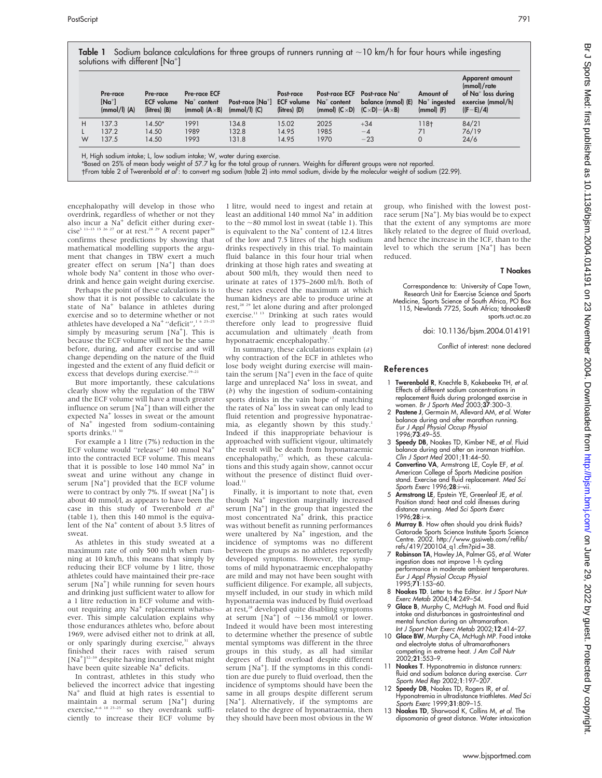**Table 1** Sodium balance calculations for three groups of runners running at  $\sim$ 10 km/h for four hours while ingesting solutions with different [Na<sup>+</sup>]

|   | Pre-race<br>$[Na^+]$<br>$(mmol/l)$ (A) | Pre-race<br><b>ECF</b> volume<br>$(litres)$ $(B)$ | <b>Pre-race ECF</b><br>$Na+ content$<br>(mmol) $(A \times B)$ | Post-race [Na <sup>+</sup> ]<br>$(mmol/l)$ (C) | Post-race<br>ECF volume<br>$(litres)$ $(D)$ | $Na+ content$ | Post-race ECF Post-race Na <sup>+</sup><br>balance (mmol) $(E)$ Na <sup>+</sup> ingested<br>(mmol) $(C \times D)$ $(C \times D) - (A \times B)$ | Amount of<br>$(mmol)$ $(F)$ | <b>Apparent amount</b><br>(mmol)/rate<br>of Na <sup>+</sup> loss during<br>exercise (mmol/h)<br>$((F-E)/4)$ |
|---|----------------------------------------|---------------------------------------------------|---------------------------------------------------------------|------------------------------------------------|---------------------------------------------|---------------|-------------------------------------------------------------------------------------------------------------------------------------------------|-----------------------------|-------------------------------------------------------------------------------------------------------------|
| Н | 137.3                                  | $14.50*$                                          | 1991                                                          | 134.8                                          | 15.02                                       | 2025          | $+34$                                                                                                                                           | $118 +$                     | 84/21                                                                                                       |
|   | 137.2                                  | 14.50                                             | 1989                                                          | 132.8                                          | 14.95                                       | 1985          | $-4$                                                                                                                                            | 71                          | 76/19                                                                                                       |
| W | 137.5                                  | 14.50                                             | 1993                                                          | 131.8                                          | 14.95                                       | 1970          | $-23$                                                                                                                                           | 0                           | 24/6                                                                                                        |

H, High sodium intake; L, low sodium intake; W, water during exercise.<br>\*Based on 25% of mean body weight of 57.7 kg for the total group of runners. Weights for different groups were not reported.

†From table 2 of Twerenbold et al<sup>r</sup>: to convert mg sodium (table 2) into mmol sodium, divide by the molecular weight of sodium (22.99).

encephalopathy will develop in those who overdrink, regardless of whether or not they also incur a  $Na<sup>+</sup>$  deficit either during exercise<sup>3 11–13 15 26 27</sup> or at rest.<sup>28 29</sup> A recent paper<sup>30</sup> confirms these predictions by showing that mathematical modelling supports the argument that changes in TBW exert a much greater effect on serum [Na<sup>+</sup>] than does whole body  $Na<sup>+</sup>$  content in those who overdrink and hence gain weight during exercise.

Perhaps the point of these calculations is to show that it is not possible to calculate the state of Na<sup>+</sup> balance in athletes during exercise and so to determine whether or not athletes have developed a Na<sup>+</sup> "deficit",<sup>162</sup> simply by measuring serum [Na<sup>+</sup>]. This is because the ECF volume will not be the same before, during, and after exercise and will change depending on the nature of the fluid ingested and the extent of any fluid deficit or excess that develops during exercise.<sup>1</sup>

But more importantly, these calculations clearly show why the regulation of the TBW and the ECF volume will have a much greater influence on serum [Na<sup>+</sup>] than will either the expected Na<sup>+</sup> losses in sweat or the amount of Na<sup>+</sup> ingested from sodium-containing sports drinks.<sup>113</sup>

For example a 1 litre (7%) reduction in the ECF volume would "release" 140 mmol Na<sup>+</sup> into the contracted ECF volume. This means that it is possible to lose  $140$  mmol  $Na<sup>+</sup>$  in sweat and urine without any change in serum [Na<sup>+</sup>] provided that the ECF volume were to contract by only 7%. If sweat  $[Na^+]$  is about 40 mmol/l, as appears to have been the case in this study of Twerenbold et  $al<sup>1</sup>$ (table 1), then this 140 mmol is the equivalent of the Na<sup>+</sup> content of about 3.5 litres of sweat.

As athletes in this study sweated at a maximum rate of only 500 ml/h when running at 10 km/h, this means that simply by reducing their ECF volume by 1 litre, those athletes could have maintained their pre-race serum [Na<sup>+</sup>] while running for seven hours and drinking just sufficient water to allow for a 1 litre reduction in ECF volume and without requiring any Na<sup>+</sup> replacement whatsoever. This simple calculation explains why those endurances athletes who, before about 1969, were advised either not to drink at all, or only sparingly during exercise,<sup>31</sup> always finished their races with raised serum [Na<sup>+</sup>]<sup>32-39</sup> despite having incurred what might have been quite sizeable Na<sup>+</sup> deficits.

In contrast, athletes in this study who believed the incorrect advice that ingesting Na<sup>+</sup> and fluid at high rates is essential to maintain a normal serum [Na<sup>+</sup>] during<br>exercise,<sup>4-6 18 23-25</sup> so they overdrank sufficiently to increase their ECF volume by

1 litre, would need to ingest and retain at least an additional 140 mmol Na<sup>+</sup> in addition to the  $\sim$ 80 mmol lost in sweat (table 1). This is equivalent to the Na<sup>+</sup> content of 12.4 litres of the low and 7.5 litres of the high sodium drinks respectively in this trial. To maintain fluid balance in this four hour trial when drinking at those high rates and sweating at about 500 ml/h, they would then need to urinate at rates of 1375–2600 ml/h. Both of these rates exceed the maximum at which human kidneys are able to produce urine at rest,<sup>28</sup> <sup>29</sup> let alone during and after prolonged exercise.<sup>11 13</sup> Drinking at such rates would therefore only lead to progressive fluid accumulation and ultimately death from<br>hyponatraemic encephalopathy.<sup>17</sup>

In summary, these calculations explain  $(a)$ why contraction of the ECF in athletes who lose body weight during exercise will maintain the serum  $[Na^+]$  even in the face of quite large and unreplaced Na<sup>+</sup> loss in sweat, and (b) why the ingestion of sodium-containing sports drinks in the vain hope of matching the rates of Na<sup>+</sup> loss in sweat can only lead to fluid retention and progressive hyponatraemia, as elegantly shown by this study.<sup>1</sup> Indeed if this inappropriate behaviour is approached with sufficient vigour, ultimately the result will be death from hyponatraemic encephalopathy, $17$  which, as these calculations and this study again show, cannot occur without the presence of distinct fluid over $load.1$ 

Finally, it is important to note that, even though Na<sup>+</sup> ingestion marginally increased serum [Na<sup>+</sup>] in the group that ingested the most concentrated Na<sup>+</sup> drink, this practice was without benefit as running performances were unaltered by Na<sup>+</sup> ingestion, and the incidence of symptoms was no different between the groups as no athletes reportedly developed symptoms. However, the symptoms of mild hyponatraemic encephalopathy are mild and may not have been sought with sufficient diligence. For example, all subjects, myself included, in our study in which mild hyponatraemia was induced by fluid overload at rest,<sup>28</sup> developed quite disabling symptoms<br>at serum  $[Na^+]$  of  $\sim$ 136 mmol/l or lower. Indeed it would have been most interesting to determine whether the presence of subtle mental symptoms was different in the three groups in this study, as all had similar degrees of fluid overload despite different serum [Na<sup>+</sup>]. If the symptoms in this condition are due purely to fluid overload, then the incidence of symptoms should have been the same in all groups despite different serum [Na<sup>+</sup> ]. Alternatively, if the symptoms are related to the degree of hyponatraemia, then they should have been most obvious in the W

group, who finished with the lowest postrace serum [Na<sup>+</sup>]. My bias would be to expect that the extent of any symptoms are more likely related to the degree of fluid overload, and hence the increase in the ICF, than to the level to which the serum [Na<sup>+</sup>] has been reduced.

#### T Noakes

Correspondence to: University of Cape Town, Research Unit for Exercise Science and Sports Medicine, Sports Science of South Africa, PO Box 115, Newlands 7725, South Africa; tdnoakes@ sports.uct.ac.za

doi: 10.1136/bjsm.2004.014191

Conflict of interest: none declared

#### References

- 1 Twerenbold R, Knechtle B, Kakebeeke TH, et al. Effects of different sodium concentrations in<br>replacement fluids during prolonged exercise in<br>women. *Br J Sports Med* 2003;**37**:300–3.
- 2 Pastene J, Germain M, Allevard AM, et al. Water balance during and after marathon running. Eur J Appl Physiol Occup Physiol 1996;73:49–55.
- 3 Speedy DB, Noakes TD, Kimber NE, et al. Fluid balance during and after an ironman triathlon. Clin J Sport Med 2001;11:44–50.
- 4 Convertino VA, Armstrong LE, Coyle EF, et al. American College of Sports Medicine position stand. Exercise and fluid replacement. Med Sci Sports Exerc 1996;28:i-vii.
- 5 Armstrong LE, Epstein YE, Greenleaf JE, et al. Position stand: heat and cold illnesses during distance running. Med Sci Sports Exerc 1996;28:i–x.
- 6 Murray B. How often should you drink fluids? Gatorade Sports Science Institute Sports Science Centre. 2002. http://www.gssiweb.com/reflib/ refs/419/200104\_q1.cfm?pid = 38.
- Robinson TA, Hawley JA, Palmer GS, et al. Water ingestion does not improve 1-h cycling performance in moderate ambient temperatures. Eur J Appl Physiol Occup Physiol 1995;71:153–60.
- 8 Noakes TD. Letter to the Editor. Int J Sport Nutr Exerc Metab 2004;14:249–54.
- Glace B, Murphy C, McHugh M. Food and fluid intake and disturbances in gastrointestinal and mental function during an ultramarathon.
- Int J Sport Nutr Exerc Metab 2002;12:414–27. 10 Glace BW, Murphy CA, McHugh MP. Food intake and electrolyte status of ultramarathoners competing in extreme heat. J Am Coll Nutr 2002;21:553–9.
- 11 **Noakes T**. Hyponatremia in distance runners: fluid and sodium balance during exercise. Curr Sports Med Rep 2002;1:197–207.
- 12 Speedy DB, Noakes TD, Rogers IR, et al. Hyponatremia in ultradistance triathletes. Med Sci Sports Exerc 1999;31:809–15.
- 13 Noakes TD, Sharwood K, Collins M, et al. The dipsomania of great distance. Water intoxication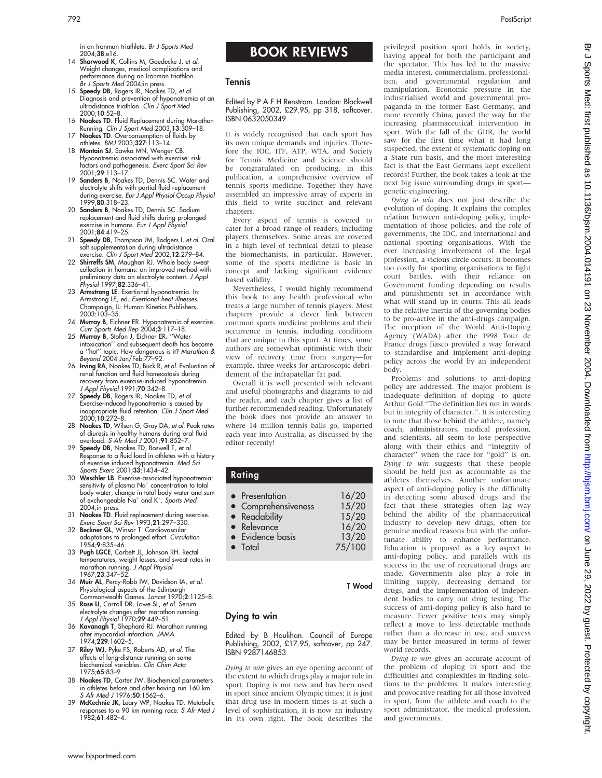in an Ironman triathlete. Br J Sports Med 2004;38:e16.

- 14 Sharwood K, Collins M, Goedecke J, et al. Weight changes, medical complications and performance during an Ironman triathlon. Br J Sports Med 2004; in press.
- 15 Speedy DB, Rogers IR, Noakes TD, et al. Diagnosis and prevention of hyponatremia at an ultradistance triathlon. Clin J Sport Med 2000;10:52–8.
- 16 Noakes TD. Fluid Replacement during Marathon Running. Clin J Sport Med 2003;13:309–18.
- 17 Noakes TD. Overconsumption of fluids by athletes. BMJ 2003;327:113–14.
- 18 Montain SJ, Sawka MN, Wenger CB. Hyponatremia associated with exercise: risk factors and pathogenesis. Exerc Sport Sci Rev 2001;29:113–17.
- 19 Sanders B, Noakes TD, Dennis SC. Water and electrolyte shifts with partial fluid replacement<br>during exercise. *Eur J Appl Physiol Occup Physio*l 1999;80:318–23.
- 20 Sanders B, Noakes TD, Dennis SC. Sodium replacement and fluid shifts during prolonged exercise in humans. Eur J Appl Physiol 2001;84:419–25.
- 21 Speedy DB, Thompson JM, Rodgers I, et al. Oral salt supplementation during ultradistance exercise. Clin J Sport Med 2002;12:279–84.
- 22 Shirreffs SM, Maughan RJ. Whole body sweat collection in humans: an improved method with preliminary data on electrolyte content. J Appl Physiol 1997;**82**:336-41.
- 23 Armstrong LE. Exertional hyponatremia. In: Armstrong LE, ed. Exertional heat illnesses. Champaign, IL: Human Kinetics Publishers, 2003:103–35.
- 24 Murray B, Eichner ER. Hyponatremia of exercise. Curr Sports Med Rep 2004;3:117–18.
- 25 Murray B, Stofan J, Eichner ER. "Water intoxication'' and subsequent death has become a ''hot'' topic. How dangerous is it? Marathon & Beyond 2004 Jan/Feb:77–92.
- 26 Irving RA, Noakes TD, Buck R, et al. Evaluation of renal function and fluid homeostasis during recovery from exercise-induced hyponatremia. J Appl Physiol 1991;70:342–8.
- 27 Speedy DB, Rogers IR, Noakes TD, et al. Exercise-induced hyponatremia is caused by inappropriate fluid retention. Clin J Sport Med 2000;10:272–8.
- 28 Noakes TD, Wilson G, Gray DA, et al. Peak rates of diuresis in healthy humans during oral fluid overload. S Afr Med J 2001;91:852–7.
- 29 Speedy DB, Noakes TD, Boswell T, et al. esponse to a fluid load in athletes with a history of exercise induced hyponatremia. Med Sci Sports Exerc 2001;33:1434–42.
- 30 Weschler LB. Exercise-associated hyponatremia: sensitivity of plasma Na<sup>+</sup> concentration to total body water, change in total body water and sum of exchangeable Na<sup>+</sup> and K<sup>+</sup>. Sports Med
- 2004;in press.<br>31 **Noakes TD**. Fluid replacement during exercise. Exerc Sport Sci Rev 1993;21:297–330.
- 32 Beckner GL, Winsor T. Cardiovascular adaptations to prolonged effort. Circulation 1954;9:835–46.
- 33 Pugh LGCE, Corbett JL, Johnson RH. Rectal temperatures, weight losses, and sweat rates in marathon running. J Appl Physiol 1967;23:347–52.
- 34 Muir AL, Percy-Robb IW, Davidson IA, et al. Physiological aspects of the Edinburgh Commonwealth Games. Lancet 1970;2:1125–8.
- 35 Rose LI, Carroll DR, Lowe SL, et al. Serum electrolyte changes after marathon running. J Appl Physiol 1970;29:449–51.
- 36 Kavanagh T, Shephard RJ. Marathon running after myocardial infarction. JAMA 1974;229:1602–5.
- 37 Riley WJ, Pyke FS, Roberts AD, et al. The effects of long-distance running on some biochemical variables. Clin Chim Acta 1975;65:83–9.
- 38 Noakes TD, Carter JW. Biochemical parameters in athletes before and after having run 160 km. S Afr Med J 1976;50:1562–6.
- 39 McKechnie JK, Leary WP, Noakes TD. Metabolic responses to a 90 km running race. S Afr Med J 1982;61:482–4.

# BOOK REVIEWS

#### Tennis

#### Edited by P A F H Renstrom. London: Blackwell Publishing, 2002, £29.95, pp 318, softcover. ISBN 0632050349

It is widely recognised that each sport has its own unique demands and injuries. Therefore the IOC, ITF, ATP, WTA, and Society for Tennis Medicine and Science should be congratulated on producing, in this publication, a comprehensive overview of tennis sports medicine. Together they have assembled an impressive array of experts in this field to write succinct and relevant chapters.

Every aspect of tennis is covered to cater for a broad range of readers, including players themselves. Some areas are covered in a high level of technical detail to please the biomechanists, in particular. However, some of the sports medicine is basic in concept and lacking significant evidence based validity.

Nevertheless, I would highly recommend this book to any health professional who treats a large number of tennis players. Most chapters provide a clever link between common sports medicine problems and their occurrence in tennis, including conditions that are unique to this sport. At times, some authors are somewhat optimistic with their view of recovery time from surgery—for example, three weeks for arthroscopic debridement of the infrapatellar fat pad.

Overall it is well presented with relevant and useful photographs and diagrams to aid the reader, and each chapter gives a list of further recommended reading. Unfortunately the book does not provide an answer to where 14 million tennis balls go, imported each year into Australia, as discussed by the editor recently!

## Rating

| • Presentation |  |
|----------------|--|

| 16/20 |
|-------|
| 15/20 |
| 15/20 |
| 16/20 |
|       |

- Evidence basis 13/20 Total 75/100
- 

|  | Wood |
|--|------|
|  |      |

 $16/20$ 

## Dying to win

## Edited by B Houlihan. Council of Europe Publishing, 2002, £17.95, softcover, pp 247. ISBN 9287146853

Dying to win gives an eye opening account of the extent to which drugs play a major role in sport. Doping is not new and has been used in sport since ancient Olympic times; it is just that drug use in modern times is at such a level of sophistication, it is now an industry in its own right. The book describes the

privileged position sport holds in society, having appeal for both the participant and the spectator. This has led to the massive media interest, commercialism, professionalism, and governmental regulation and manipulation. Economic pressure in the industrialised world and governmental propaganda in the former East Germany, and more recently China, paved the way for the increasing pharmaceutical intervention in sport. With the fall of the GDR, the world saw for the first time what it had long suspected, the extent of systematic doping on a State run basis, and the most interesting fact is that the East Germans kept excellent records! Further, the book takes a look at the next big issue surrounding drugs in sport genetic engineering.

Dying to win does not just describe the evolution of doping. It explains the complex relation between anti-doping policy, implementation of those policies, and the role of governments, the IOC, and international and national sporting organisations. With the ever increasing involvement of the legal profession, a vicious circle occurs: it becomes too costly for sporting organisations to fight court battles, with their reliance on Government funding depending on results and punishments set in accordance with what will stand up in courts. This all leads to the relative inertia of the governing bodies to be pro-active in the anti-drugs campaign. The inception of the World Anti-Doping Agency (WADA) after the 1998 Tour de France drugs fiasco provided a way forward to standardise and implement anti-doping policy across the world by an independent body.

Problems and solutions to anti-doping policy are addressed. The major problem is inadequate definition of doping—to quote Arthur Gold ''The definition lies not in words but in integrity of character.''. It is interesting to note that those behind the athlete, namely coach, administrators, medical profession, and scientists, all seem to lose perspective along with their ethics and ''integrity of character" when the race for "gold" is on. Dying to win suggests that these people should be held just as accountable as the athletes themselves. Another unfortunate aspect of anti-doping policy is the difficulty in detecting some abused drugs and the fact that these strategies often lag way behind the ability of the pharmaceutical industry to develop new drugs, often for genuine medical reasons but with the unfortunate ability to enhance performance. Education is proposed as a key aspect to anti-doping policy, and parallels with its success in the use of recreational drugs are made. Governments also play a role in limiting supply, decreasing demand for drugs, and the implementation of independent bodies to carry out drug testing. The success of anti-doping policy is also hard to measure. Fewer positive tests may simply reflect a move to less detectable methods rather than a decrease in use, and success may be better measured in terms of fewer world records.

Dying to win gives an accurate account of the problem of doping in sport and the difficulties and complexities in finding solutions to the problems. It makes interesting and provocative reading for all those involved in sport, from the athlete and coach to the sport administrator, the medical profession, and governments.